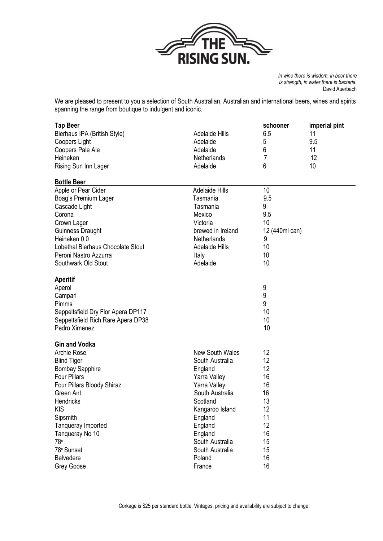

*In wine there is wisdom, in beer there is strength, in water there is bacteria.*  David Auerbach

We are pleased to present to you a selection of South Australian, Australian and international beers, wines and spirits spanning the range from boutique to indulgent and iconic.

| <b>Tap Beer</b>                    |                        | schooner        | imperial pint |
|------------------------------------|------------------------|-----------------|---------------|
| Bierhaus IPA (British Style)       | <b>Adelaide Hills</b>  | 6.5             | 11            |
| Coopers Light                      | Adelaide               | 5               | 9.5           |
| Coopers Pale Ale                   | Adelaide               | 6               | 11            |
| Heineken                           | Netherlands            | 7               | 12            |
| Rising Sun Inn Lager               | Adelaide               | 6               | 10            |
| <b>Bottle Beer</b>                 |                        |                 |               |
| Apple or Pear Cider                | <b>Adelaide Hills</b>  | 10 <sup>°</sup> |               |
| Boag's Premium Lager               | Tasmania               | 9.5             |               |
| Cascade Light                      | Tasmania               | 9               |               |
| Corona                             | Mexico                 | 9.5             |               |
| Crown Lager                        | Victoria               | 10              |               |
| Guinness Draught                   | brewed in Ireland      | 12 (440ml can)  |               |
| Heineken 0.0                       | Netherlands            | 9               |               |
| Lobethal Bierhaus Chocolate Stout  | <b>Adelaide Hills</b>  | 10              |               |
| Peroni Nastro Azzurra              | Italy                  | 10              |               |
| Southwark Old Stout                | Adelaide               | 10              |               |
| <b>Aperitif</b>                    |                        |                 |               |
| Aperol                             |                        | 9               |               |
| Campari                            |                        | 9               |               |
| Pimms                              |                        | 9               |               |
| Seppeltsfield Dry Flor Apera DP117 |                        | 10              |               |
| Seppeltsfield Rich Rare Apera DP38 |                        | 10              |               |
| Pedro Ximenez                      |                        | 10              |               |
| <b>Gin and Vodka</b>               |                        |                 |               |
| <b>Archie Rose</b>                 | <b>New South Wales</b> | 12              |               |
| <b>Blind Tiger</b>                 | South Australia        | 12              |               |
| <b>Bombay Sapphire</b>             | England                | 12              |               |
| <b>Four Pillars</b>                | Yarra Valley           | 16              |               |
| Four Pillars Bloody Shiraz         | Yarra Valley           | 16              |               |
| Green Ant                          | South Australia        | 16              |               |
| Hendricks                          | Scotland               | 13              |               |
| <b>KIS</b>                         | Kangaroo Island        | 12              |               |
| Sipsmith                           | England                | 11              |               |
| Tanqueray Imported                 | England                | 12              |               |
| Tanqueray No 10                    | England                | 16              |               |
| 78°                                | South Australia        | 15              |               |
| 78° Sunset                         | South Australia        | 15              |               |
| Belvedere                          | Poland                 | 16              |               |
| Grey Goose                         | France                 | 16              |               |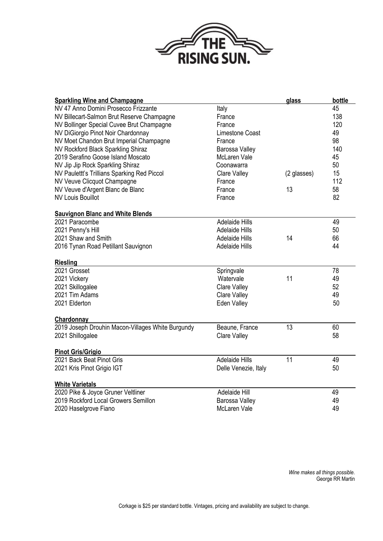

| <b>Sparkling Wine and Champagne</b>               |                       | glass       | bottle |
|---------------------------------------------------|-----------------------|-------------|--------|
| NV 47 Anno Domini Prosecco Frizzante              | Italy                 |             | 45     |
| NV Billecart-Salmon Brut Reserve Champagne        | France                |             | 138    |
| NV Bollinger Special Cuvee Brut Champagne         | France                |             | 120    |
| NV DiGiorgio Pinot Noir Chardonnay                | Limestone Coast       |             | 49     |
| NV Moet Chandon Brut Imperial Champagne           | France                |             | 98     |
| NV Rockford Black Sparkling Shiraz                | Barossa Valley        |             | 140    |
| 2019 Serafino Goose Island Moscato                | <b>McLaren Vale</b>   |             | 45     |
| NV Jip Jip Rock Sparkling Shiraz                  | Coonawarra            |             | 50     |
| NV Paulettt's Trillians Sparking Red Piccol       | Clare Valley          | (2 glasses) | 15     |
| NV Veuve Clicquot Champagne                       | France                |             | 112    |
| NV Veuve d'Argent Blanc de Blanc                  | France                | 13          | 58     |
| <b>NV Louis Bouillot</b>                          | France                |             | 82     |
| <b>Sauvignon Blanc and White Blends</b>           |                       |             |        |
| 2021 Paracombe                                    | <b>Adelaide Hills</b> |             | 49     |
| 2021 Penny's Hill                                 | <b>Adelaide Hills</b> |             | 50     |
| 2021 Shaw and Smith                               | <b>Adelaide Hills</b> | 14          | 66     |
| 2016 Tynan Road Petillant Sauvignon               | <b>Adelaide Hills</b> |             | 44     |
| <b>Riesling</b>                                   |                       |             |        |
| 2021 Grosset                                      | Springvale            |             | 78     |
| 2021 Vickery                                      | Watervale             | 11          | 49     |
| 2021 Skillogalee                                  | Clare Valley          |             | 52     |
| 2021 Tim Adams                                    | <b>Clare Valley</b>   |             | 49     |
| 2021 Elderton                                     | Eden Valley           |             | 50     |
| Chardonnay                                        |                       |             |        |
| 2019 Joseph Drouhin Macon-Villages White Burgundy | Beaune, France        | 13          | 60     |
| 2021 Shillogalee                                  | <b>Clare Valley</b>   |             | 58     |
| <b>Pinot Gris/Grigio</b>                          |                       |             |        |
| 2021 Back Beat Pinot Gris                         | <b>Adelaide Hills</b> | 11          | 49     |
| 2021 Kris Pinot Grigio IGT                        | Delle Venezie, Italy  |             | 50     |
| <b>White Varietals</b>                            |                       |             |        |
| 2020 Pike & Joyce Gruner Veltliner                | Adelaide Hill         |             | 49     |
| 2019 Rockford Local Growers Semillon              | Barossa Valley        |             | 49     |
| 2020 Haselgrove Fiano                             | <b>McLaren Vale</b>   |             | 49     |

*Wine makes all things possible.* George RR Martin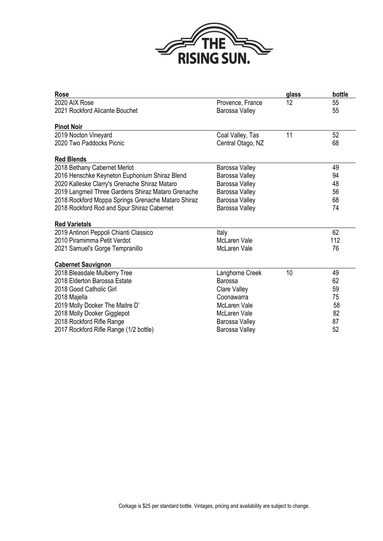

| <b>Rose</b>                                        |                     | glass | bottle |
|----------------------------------------------------|---------------------|-------|--------|
| 2020 AIX Rose                                      | Provence, France    | 12    | 55     |
| 2021 Rockford Alicante Bouchet                     | Barossa Valley      |       | 55     |
| <b>Pinot Noir</b>                                  |                     |       |        |
| 2019 Nocton Vineyard                               | Coal Valley, Tas    | 11    | 52     |
| 2020 Two Paddocks Picnic                           | Central Otago, NZ   |       | 68     |
| <b>Red Blends</b>                                  |                     |       |        |
| 2018 Bethany Cabernet Merlot                       | Barossa Valley      |       | 49     |
| 2016 Henschke Keyneton Euphonium Shiraz Blend      | Barossa Valley      |       | 94     |
| 2020 Kalleske Clarry's Grenache Shiraz Mataro      | Barossa Valley      |       | 48     |
| 2019 Langmeil Three Gardens Shiraz Mataro Grenache | Barossa Valley      |       | 56     |
| 2018 Rockford Moppa Springs Grenache Mataro Shiraz | Barossa Valley      |       | 68     |
| 2018 Rockford Rod and Spur Shiraz Cabernet         | Barossa Valley      |       | 74     |
| <b>Red Varietals</b>                               |                     |       |        |
| 2019 Antinori Peppoli Chianti Classico             | Italy               |       | 62     |
| 2010 Piramimma Petit Verdot                        | <b>McLaren Vale</b> |       | 112    |
| 2021 Samuel's Gorge Tempranillo                    | <b>McLaren Vale</b> |       | 76     |
| <b>Cabernet Sauvignon</b>                          |                     |       |        |
| 2018 Bleasdale Mulberry Tree                       | Langhorne Creek     | 10    | 49     |
| 2018 Elderton Barossa Estate                       | <b>Barossa</b>      |       | 62     |
| 2018 Good Catholic Girl                            | Clare Valley        |       | 59     |
| 2018 Majella                                       | Coonawarra          |       | 75     |
| 2019 Molly Dooker The Maitre D'                    | <b>McLaren Vale</b> |       | 58     |
| 2018 Molly Dooker Gigglepot                        | McLaren Vale        |       | 82     |
| 2018 Rockford Rifle Range                          | Barossa Valley      |       | 87     |
| 2017 Rockford Rifle Range (1/2 bottle)             | Barossa Valley      |       | 52     |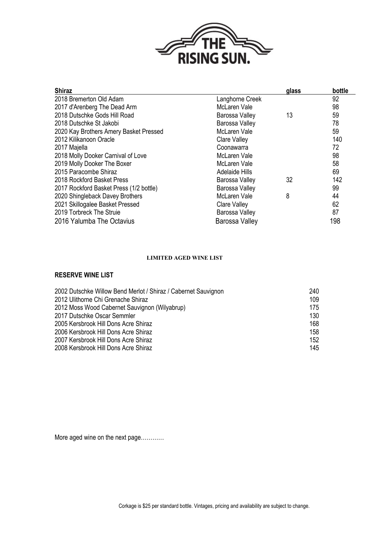

| <b>Shiraz</b>                           |                       | glass | bottle |
|-----------------------------------------|-----------------------|-------|--------|
| 2018 Bremerton Old Adam                 | Langhorne Creek       |       | 92     |
| 2017 d'Arenberg The Dead Arm            | McLaren Vale          |       | 98     |
| 2018 Dutschke Gods Hill Road            | Barossa Valley        | 13    | 59     |
| 2018 Dutschke St Jakobi                 | Barossa Valley        |       | 78     |
| 2020 Kay Brothers Amery Basket Pressed  | <b>McLaren Vale</b>   |       | 59     |
| 2012 Kilikanoon Oracle                  | Clare Valley          |       | 140    |
| 2017 Majella                            | Coonawarra            |       | 72     |
| 2018 Molly Dooker Carnival of Love      | McLaren Vale          |       | 98     |
| 2019 Molly Dooker The Boxer             | McLaren Vale          |       | 58     |
| 2015 Paracombe Shiraz                   | <b>Adelaide Hills</b> |       | 69     |
| 2018 Rockford Basket Press              | Barossa Valley        | 32    | 142    |
| 2017 Rockford Basket Press (1/2 bottle) | Barossa Valley        |       | 99     |
| 2020 Shingleback Davey Brothers         | McLaren Vale          | 8     | 44     |
| 2021 Skillogalee Basket Pressed         | Clare Valley          |       | 62     |
| 2019 Torbreck The Struie                | Barossa Valley        |       | 87     |
| 2016 Yalumba The Octavius               | Barossa Valley        |       | 198    |

## **LIMITED AGED WINE LIST**

## **RESERVE WINE LIST**

| 240 |
|-----|
| 109 |
| 175 |
| 130 |
| 168 |
| 158 |
| 152 |
| 145 |
|     |

More aged wine on the next page…………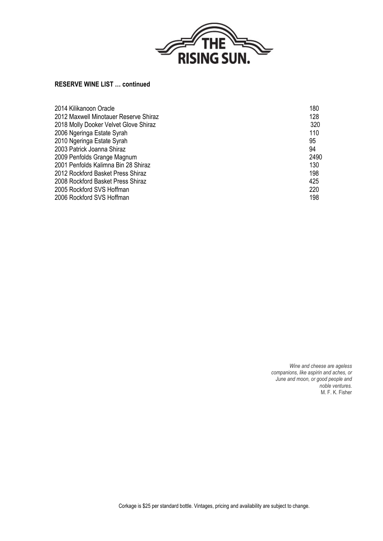

## **RESERVE WINE LIST … continued**

| 2014 Kilikanoon Oracle                | 180  |
|---------------------------------------|------|
| 2012 Maxwell Minotauer Reserve Shiraz | 128  |
| 2018 Molly Dooker Velvet Glove Shiraz | 320  |
| 2006 Ngeringa Estate Syrah            | 110  |
| 2010 Ngeringa Estate Syrah            | 95   |
| 2003 Patrick Joanna Shiraz            | 94   |
| 2009 Penfolds Grange Magnum           | 2490 |
| 2001 Penfolds Kalimna Bin 28 Shiraz   | 130  |
| 2012 Rockford Basket Press Shiraz     | 198  |
| 2008 Rockford Basket Press Shiraz     | 425  |
| 2005 Rockford SVS Hoffman             | 220  |
| 2006 Rockford SVS Hoffman             | 198  |
|                                       |      |

*Wine and cheese are ageless companions, like aspirin and aches, or June and moon, or good people and noble ventures.* M. F. K. Fisher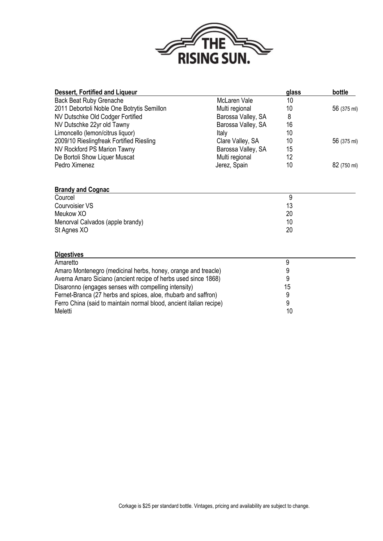

| <b>Dessert, Fortified and Liqueur</b>                               |                     | glass | bottle      |
|---------------------------------------------------------------------|---------------------|-------|-------------|
| <b>Back Beat Ruby Grenache</b>                                      | <b>McLaren Vale</b> | 10    |             |
| 2011 Debortoli Noble One Botrytis Semillon                          | Multi regional      | 10    | 56 (375 ml) |
| NV Dutschke Old Codger Fortified                                    | Barossa Valley, SA  | 8     |             |
| NV Dutschke 22yr old Tawny                                          | Barossa Valley, SA  | 16    |             |
| Limoncello (lemon/citrus liquor)                                    | Italy               | 10    |             |
| 2009/10 Rieslingfreak Fortified Riesling                            | Clare Valley, SA    | 10    | 56 (375 ml) |
| NV Rockford PS Marion Tawny                                         | Barossa Valley, SA  | 15    |             |
| De Bortoli Show Liquer Muscat                                       | Multi regional      | 12    |             |
| Pedro Ximenez                                                       | Jerez, Spain        | 10    | 82 (750 ml) |
| <b>Brandy and Cognac</b>                                            |                     |       |             |
| Courcel                                                             |                     | 9     |             |
| <b>Courvoisier VS</b>                                               |                     | 13    |             |
| Meukow XO                                                           |                     | 20    |             |
| Menorval Calvados (apple brandy)                                    |                     | 10    |             |
| St Agnes XO                                                         |                     | 20    |             |
| <b>Digestives</b>                                                   |                     |       |             |
| Amaretto                                                            |                     | 9     |             |
| Amaro Montenegro (medicinal herbs, honey, orange and treacle)       |                     | 9     |             |
| Averna Amaro Siciano (ancient recipe of herbs used since 1868)      |                     | 9     |             |
| Disaronno (engages senses with compelling intensity)                |                     | 15    |             |
| Fernet-Branca (27 herbs and spices, aloe, rhubarb and saffron)      |                     | 9     |             |
| Ferro China (said to maintain normal blood, ancient italian recipe) |                     | 9     |             |
| Meletti                                                             |                     | 10    |             |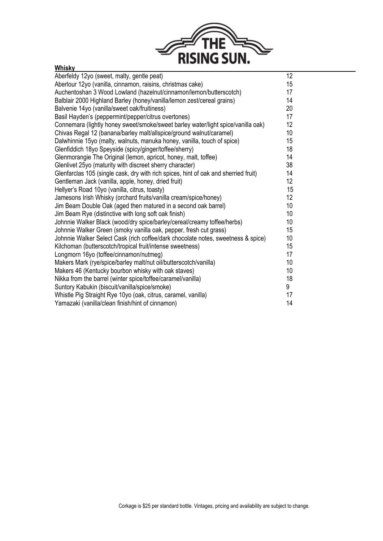

| <b>Whisky</b>                                                                       |                 |
|-------------------------------------------------------------------------------------|-----------------|
| Aberfeldy 12yo (sweet, malty, gentle peat)                                          | 12 <sup>°</sup> |
| Aberlour 12yo (vanilla, cinnamon, raisins, christmas cake)                          | 15              |
| Auchentoshan 3 Wood Lowland (hazelnut/cinnamon/lemon/butterscotch)                  | 17              |
| Balblair 2000 Highland Barley (honey/vanilla/lemon zest/cereal grains)              | 14              |
| Balvenie 14yo (vanilla/sweet oak/fruitiness)                                        | 20              |
| Basil Hayden's (peppermint/pepper/citrus overtones)                                 | 17              |
| Connemara (lightly honey sweet/smoke/sweet barley water/light spice/vanilla oak)    | 12              |
| Chivas Regal 12 (banana/barley malt/allspice/ground walnut/caramel)                 | 10 <sup>1</sup> |
| Dalwhinnie 15yo (malty, walnuts, manuka honey, vanilla, touch of spice)             | 15              |
| Glenfiddich 18yo Speyside (spicy/ginger/toffee/sherry)                              | 18              |
| Glenmorangie The Original (lemon, apricot, honey, malt, toffee)                     | 14              |
| Glenlivet 25yo (maturity with discreet sherry character)                            | 38              |
| Glenfarclas 105 (single cask, dry with rich spices, hint of oak and sherried fruit) | 14              |
| Gentleman Jack (vanilla, apple, honey, dried fruit)                                 | 12              |
| Hellyer's Road 10yo (vanilla, citrus, toasty)                                       | 15              |
| Jamesons Irish Whisky (orchard fruits/vanilla cream/spice/honey)                    | 12              |
| Jim Beam Double Oak (aged then matured in a second oak barrel)                      | 10 <sup>1</sup> |
| Jim Beam Rye (distinctive with long soft oak finish)                                | 10              |
| Johnnie Walker Black (wood/dry spice/barley/cereal/creamy toffee/herbs)             | 10              |
| Johnnie Walker Green (smoky vanilla oak, pepper, fresh cut grass)                   | 15              |
| Johnnie Walker Select Cask (rich coffee/dark chocolate notes, sweetness & spice)    | 10              |
| Kilchoman (butterscotch/tropical fruit/intense sweetness)                           | 15              |
| Longmorn 16yo (toffee/cinnamon/nutmeg)                                              | 17              |
| Makers Mark (rye/spice/barley malt/nut oil/butterscotch/vanilla)                    | 10              |
| Makers 46 (Kentucky bourbon whisky with oak staves)                                 | 10              |
| Nikka from the barrel (winter spice/toffee/caramel/vanilla)                         | 18              |
| Suntory Kabukin (biscuit/vanilla/spice/smoke)                                       | 9               |
| Whistle Pig Straight Rye 10yo (oak, citrus, caramel, vanilla)                       | 17              |
| Yamazaki (vanilla/clean finish/hint of cinnamon)                                    | 14              |

J